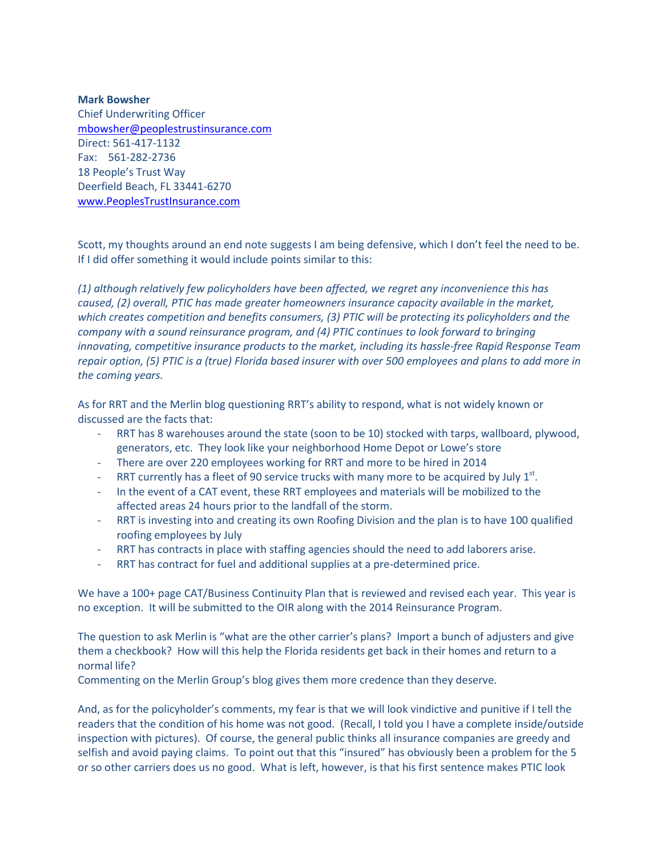**Mark Bowsher** Chief Underwriting Officer [mbowsher@peoplestrustinsurance.com](mailto:mbowsher@peoplestrustinsurance.com) Direct: 561-417-1132 Fax: 561-282-2736 18 People's Trust Way Deerfield Beach, FL 33441-6270 [www.PeoplesTrustInsurance.com](http://www.peoplestrustinsurance.com/)

Scott, my thoughts around an end note suggests I am being defensive, which I don't feel the need to be. If I did offer something it would include points similar to this:

*(1) although relatively few policyholders have been affected, we regret any inconvenience this has caused, (2) overall, PTIC has made greater homeowners insurance capacity available in the market, which creates competition and benefits consumers, (3) PTIC will be protecting its policyholders and the company with a sound reinsurance program, and (4) PTIC continues to look forward to bringing innovating, competitive insurance products to the market, including its hassle-free Rapid Response Team repair option, (5) PTIC is a (true) Florida based insurer with over 500 employees and plans to add more in the coming years.*

As for RRT and the Merlin blog questioning RRT's ability to respond, what is not widely known or discussed are the facts that:

- RRT has 8 warehouses around the state (soon to be 10) stocked with tarps, wallboard, plywood, generators, etc. They look like your neighborhood Home Depot or Lowe's store
- There are over 220 employees working for RRT and more to be hired in 2014
- RRT currently has a fleet of 90 service trucks with many more to be acquired by July  $1<sup>st</sup>$ .
- In the event of a CAT event, these RRT employees and materials will be mobilized to the affected areas 24 hours prior to the landfall of the storm.
- RRT is investing into and creating its own Roofing Division and the plan is to have 100 qualified roofing employees by July
- RRT has contracts in place with staffing agencies should the need to add laborers arise.
- RRT has contract for fuel and additional supplies at a pre-determined price.

We have a 100+ page CAT/Business Continuity Plan that is reviewed and revised each year. This year is no exception. It will be submitted to the OIR along with the 2014 Reinsurance Program.

The question to ask Merlin is "what are the other carrier's plans? Import a bunch of adjusters and give them a checkbook? How will this help the Florida residents get back in their homes and return to a normal life?

Commenting on the Merlin Group's blog gives them more credence than they deserve.

And, as for the policyholder's comments, my fear is that we will look vindictive and punitive if I tell the readers that the condition of his home was not good. (Recall, I told you I have a complete inside/outside inspection with pictures). Of course, the general public thinks all insurance companies are greedy and selfish and avoid paying claims. To point out that this "insured" has obviously been a problem for the 5 or so other carriers does us no good. What is left, however, is that his first sentence makes PTIC look